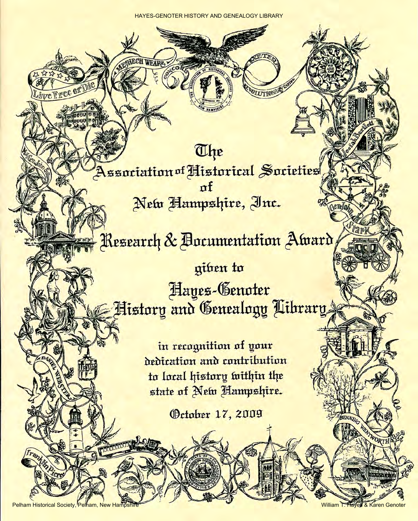**OLUTIONAL CA** 

The Association of Historical Societies New Hampshire, Inc.

## Research & Bocumentation Award,

giben to Hayes-Genoter History and Genealogy Library

> in recognition of your dedication and contribution to local history within the state of New Hampshire.

> > Getober 17, 2009

Pelham Historical Society, Pelham, New Hampshire William T. Hayes & Karen Genoter

ve Free